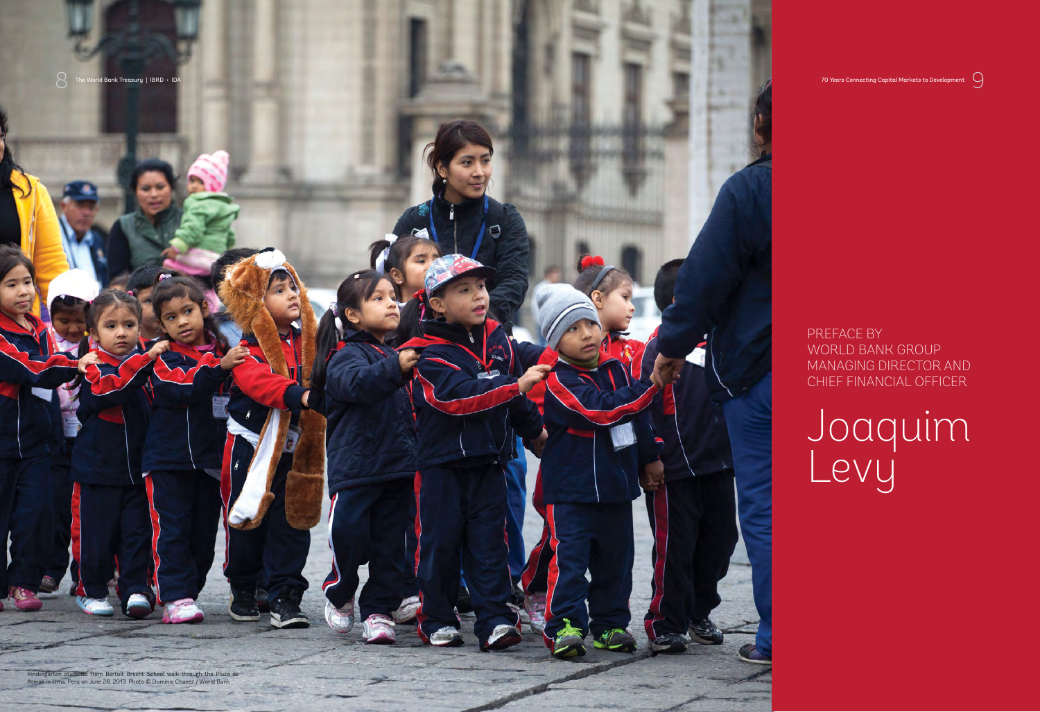$\cup$ 

PREFACE BY WORLD BANK GROUP MANAGING DIRECTOR AND CHIEF FINANCIAL OFFICER

Re World Bank Treasury | IBRD • IDA 70 Years Connecting Capital Markets to Development<br>Price States of Development Connecting Capital Markets to Development Connecting Capital Markets to Development



## Joaquim Levy

Kindergarten students from Bertolt Brecht School walk through the Plaza de Armas in Lima, Peru on June 28, 2013. Photo © Dominic Chavez / World Bank